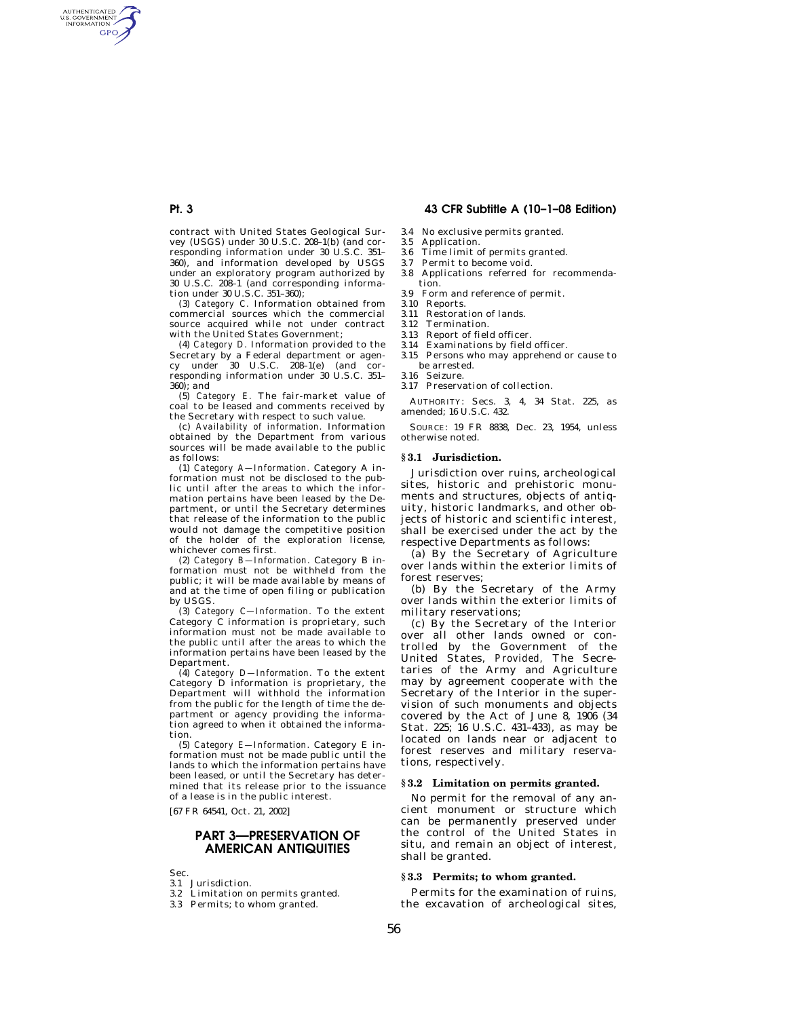# **Pt. 3 43 CFR Subtitle A (10–1–08 Edition)**

- 3.4 No exclusive permits granted.
	- 3.5 Application.<br>3.6 Time limit of Time limit of permits granted.
	- 3.7 Permit to become void.
	- 3.8 Applications referred for recommendation.
	- 3.9 Form and reference of permit.
	- 3.10 Reports.
	- 3.11 Restoration of lands.
	- 3.12 Termination.
	- 3.13 Report of field officer.<br>3.14 Examinations by field
	- Examinations by field officer. 3.15 Persons who may apprehend or cause to be arrested.
	- 3.16 Seizure.
	- 3.17 Preservation of collection.

AUTHORITY: Secs. 3, 4, 34 Stat. 225, as amended; 16 U.S.C. 432.

SOURCE: 19 FR 8838, Dec. 23, 1954, unless otherwise noted.

## **§ 3.1 Jurisdiction.**

Jurisdiction over ruins, archeological sites, historic and prehistoric monuments and structures, objects of antiquity, historic landmarks, and other objects of historic and scientific interest, shall be exercised under the act by the respective Departments as follows:

(a) By the Secretary of Agriculture over lands within the exterior limits of forest reserves;

(b) By the Secretary of the Army over lands within the exterior limits of military reservations;

(c) By the Secretary of the Interior over all other lands owned or controlled by the Government of the United States, *Provided,* The Secretaries of the Army and Agriculture may by agreement cooperate with the Secretary of the Interior in the supervision of such monuments and objects covered by the Act of June 8, 1906 (34 Stat. 225; 16 U.S.C. 431–433), as may be located on lands near or adjacent to forest reserves and military reservations, respectively.

## **§ 3.2 Limitation on permits granted.**

No permit for the removal of any ancient monument or structure which can be permanently preserved under the control of the United States in situ, and remain an object of interest, shall be granted.

#### **§ 3.3 Permits; to whom granted.**

Permits for the examination of ruins, the excavation of archeological sites,

contract with United States Geological Survey (USGS) under 30 U.S.C. 208–1(b) (and corresponding information under 30 U.S.C. 351– 360), and information developed by USGS under an exploratory program authorized by 30 U.S.C. 208–1 (and corresponding information under 30 U.S.C. 351–360);

(3) *Category C.* Information obtained from commercial sources which the commercial source acquired while not under contract with the United States Government;

(4) *Category D.* Information provided to the Secretary by a Federal department or agency under 30 U.S.C. 208–1(e) (and corresponding information under 30 U.S.C. 351– 360); and

(5) *Category E.* The fair-market value of coal to be leased and comments received by the Secretary with respect to such value.

(c) *Availability of information.* Information obtained by the Department from various sources will be made available to the public as follows:

(1) *Category A—Information.* Category A information must not be disclosed to the public until after the areas to which the information pertains have been leased by the Department, or until the Secretary determines that release of the information to the public would not damage the competitive position of the holder of the exploration license, whichever comes first.

(2) *Category B—Information.* Category B information must not be withheld from the public; it will be made available by means of and at the time of open filing or publication by USGS.

(3) *Category C—Information.* To the extent Category C information is proprietary, such information must not be made available to the public until after the areas to which the information pertains have been leased by the Department.

(4) *Category D—Information.* To the extent Category D information is proprietary, the Department will withhold the information from the public for the length of time the department or agency providing the information agreed to when it obtained the information.

(5) *Category E—Information.* Category E information must not be made public until the lands to which the information pertains have been leased, or until the Secretary has determined that its release prior to the issuance of a lease is in the public interest.

[67 FR 64541, Oct. 21, 2002]

# **PART 3—PRESERVATION OF AMERICAN ANTIQUITIES**

Sec.

- 3.1 Jurisdiction.
- 3.2 Limitation on permits granted.
- 3.3 Permits; to whom granted.



AUTHENTICATED<br>U.S. GOVERNMENT<br>INFORMATION **GPO**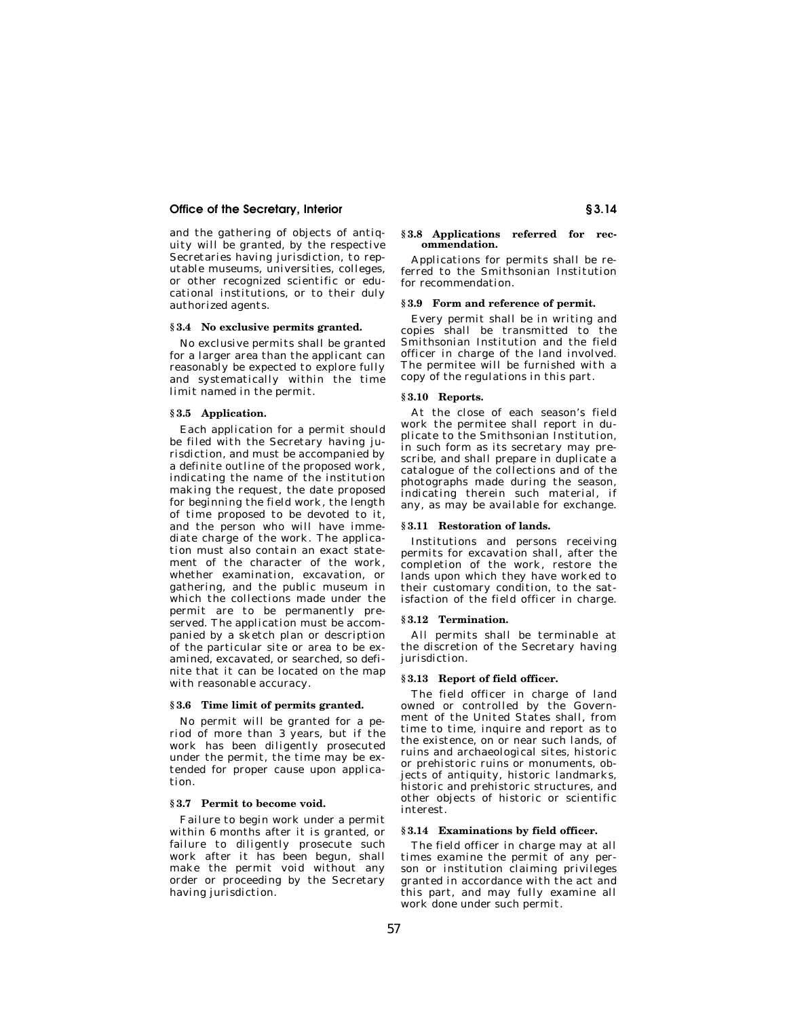## **Office of the Secretary, Interior § 3.14**

and the gathering of objects of antiquity will be granted, by the respective Secretaries having jurisdiction, to reputable museums, universities, colleges, or other recognized scientific or educational institutions, or to their duly authorized agents.

#### **§ 3.4 No exclusive permits granted.**

No exclusive permits shall be granted for a larger area than the applicant can reasonably be expected to explore fully and systematically within the time limit named in the permit.

#### **§ 3.5 Application.**

Each application for a permit should be filed with the Secretary having jurisdiction, and must be accompanied by a definite outline of the proposed work, indicating the name of the institution making the request, the date proposed for beginning the field work, the length of time proposed to be devoted to it, and the person who will have immediate charge of the work. The application must also contain an exact statement of the character of the work, whether examination, excavation, or gathering, and the public museum in which the collections made under the permit are to be permanently preserved. The application must be accompanied by a sketch plan or description of the particular site or area to be examined, excavated, or searched, so definite that it can be located on the map with reasonable accuracy.

## **§ 3.6 Time limit of permits granted.**

No permit will be granted for a period of more than 3 years, but if the work has been diligently prosecuted under the permit, the time may be extended for proper cause upon application.

# **§ 3.7 Permit to become void.**

Failure to begin work under a permit within 6 months after it is granted, or failure to diligently prosecute such work after it has been begun, shall make the permit void without any order or proceeding by the Secretary having jurisdiction.

#### **§ 3.8 Applications referred for recommendation.**

Applications for permits shall be referred to the Smithsonian Institution for recommendation.

#### **§ 3.9 Form and reference of permit.**

Every permit shall be in writing and copies shall be transmitted to the Smithsonian Institution and the field officer in charge of the land involved. The permitee will be furnished with a copy of the regulations in this part.

## **§ 3.10 Reports.**

At the close of each season's field work the permitee shall report in duplicate to the Smithsonian Institution, in such form as its secretary may prescribe, and shall prepare in duplicate a catalogue of the collections and of the photographs made during the season, indicating therein such material, if any, as may be available for exchange.

#### **§ 3.11 Restoration of lands.**

Institutions and persons receiving permits for excavation shall, after the completion of the work, restore the lands upon which they have worked to their customary condition, to the satisfaction of the field officer in charge.

## **§ 3.12 Termination.**

All permits shall be terminable at the discretion of the Secretary having jurisdiction.

### **§ 3.13 Report of field officer.**

The field officer in charge of land owned or controlled by the Government of the United States shall, from time to time, inquire and report as to the existence, on or near such lands, of ruins and archaeological sites, historic or prehistoric ruins or monuments, objects of antiquity, historic landmarks, historic and prehistoric structures, and other objects of historic or scientific interest.

#### **§ 3.14 Examinations by field officer.**

The field officer in charge may at all times examine the permit of any person or institution claiming privileges granted in accordance with the act and this part, and may fully examine all work done under such permit.